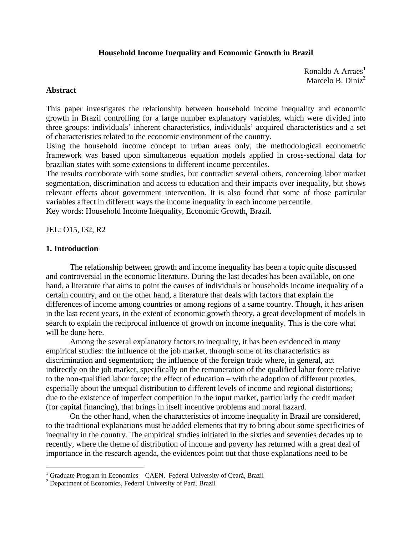# **Household Income Inequality and Economic Growth in Brazil**

Ronaldo A Arraes**[1](#page-0-0)** Marcelo B. Diniz**[2](#page-0-1)**

# **Abstract**

This paper investigates the relationship between household income inequality and economic growth in Brazil controlling for a large number explanatory variables, which were divided into three groups: individuals' inherent characteristics, individuals' acquired characteristics and a set of characteristics related to the economic environment of the country.

Using the household income concept to urban areas only, the methodological econometric framework was based upon simultaneous equation models applied in cross-sectional data for brazilian states with some extensions to different income percentiles.

The results corroborate with some studies, but contradict several others, concerning labor market segmentation, discrimination and access to education and their impacts over inequality, but shows relevant effects about government intervention. It is also found that some of those particular variables affect in different ways the income inequality in each income percentile.

Key words: Household Income Inequality, Economic Growth, Brazil.

JEL: O15, I32, R2

### **1. Introduction**

 $\overline{a}$ 

 The relationship between growth and income inequality has been a topic quite discussed and controversial in the economic literature. During the last decades has been available, on one hand, a literature that aims to point the causes of individuals or households income inequality of a certain country, and on the other hand, a literature that deals with factors that explain the differences of income among countries or among regions of a same country. Though, it has arisen in the last recent years, in the extent of economic growth theory, a great development of models in search to explain the reciprocal influence of growth on income inequality. This is the core what will be done here.

Among the several explanatory factors to inequality, it has been evidenced in many empirical studies: the influence of the job market, through some of its characteristics as discrimination and segmentation; the influence of the foreign trade where, in general, act indirectly on the job market, specifically on the remuneration of the qualified labor force relative to the non-qualified labor force; the effect of education – with the adoption of different proxies, especially about the unequal distribution to different levels of income and regional distortions; due to the existence of imperfect competition in the input market, particularly the credit market (for capital financing), that brings in itself incentive problems and moral hazard.

On the other hand, when the characteristics of income inequality in Brazil are considered, to the traditional explanations must be added elements that try to bring about some specificities of inequality in the country. The empirical studies initiated in the sixties and seventies decades up to recently, where the theme of distribution of income and poverty has returned with a great deal of importance in the research agenda, the evidences point out that those explanations need to be

<span id="page-0-0"></span><sup>&</sup>lt;sup>1</sup> Graduate Program in Economics – CAEN, Federal University of Ceará, Brazil  $^{2}$  Department of Economics, Federal University of Pará, Brazil

<span id="page-0-1"></span>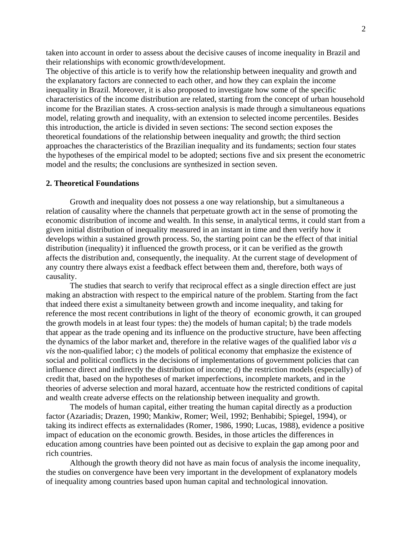taken into account in order to assess about the decisive causes of income inequality in Brazil and their relationships with economic growth/development.

The objective of this article is to verify how the relationship between inequality and growth and the explanatory factors are connected to each other, and how they can explain the income inequality in Brazil. Moreover, it is also proposed to investigate how some of the specific characteristics of the income distribution are related, starting from the concept of urban household income for the Brazilian states. A cross-section analysis is made through a simultaneous equations model, relating growth and inequality, with an extension to selected income percentiles. Besides this introduction, the article is divided in seven sections: The second section exposes the theoretical foundations of the relationship between inequality and growth; the third section approaches the characteristics of the Brazilian inequality and its fundaments; section four states the hypotheses of the empirical model to be adopted; sections five and six present the econometric model and the results; the conclusions are synthesized in section seven.

# **2. Theoretical Foundations**

Growth and inequality does not possess a one way relationship, but a simultaneous a relation of causality where the channels that perpetuate growth act in the sense of promoting the economic distribution of income and wealth. In this sense, in analytical terms, it could start from a given initial distribution of inequality measured in an instant in time and then verify how it develops within a sustained growth process. So, the starting point can be the effect of that initial distribution (inequality) it influenced the growth process, or it can be verified as the growth affects the distribution and, consequently, the inequality. At the current stage of development of any country there always exist a feedback effect between them and, therefore, both ways of causality.

The studies that search to verify that reciprocal effect as a single direction effect are just making an abstraction with respect to the empirical nature of the problem. Starting from the fact that indeed there exist a simultaneity between growth and income inequality, and taking for reference the most recent contributions in light of the theory of economic growth, it can grouped the growth models in at least four types: the) the models of human capital; b) the trade models that appear as the trade opening and its influence on the productive structure, have been affecting the dynamics of the labor market and, therefore in the relative wages of the qualified labor *vis a vis* the non-qualified labor; c) the models of political economy that emphasize the existence of social and political conflicts in the decisions of implementations of government policies that can influence direct and indirectly the distribution of income; d) the restriction models (especially) of credit that, based on the hypotheses of market imperfections, incomplete markets, and in the theories of adverse selection and moral hazard, accentuate how the restricted conditions of capital and wealth create adverse effects on the relationship between inequality and growth.

The models of human capital, either treating the human capital directly as a production factor (Azariadis; Drazen, 1990; Mankiw, Romer; Weil, 1992; Benhabibi; Spiegel, 1994), or taking its indirect effects as externalidades (Romer, 1986, 1990; Lucas, 1988), evidence a positive impact of education on the economic growth. Besides, in those articles the differences in education among countries have been pointed out as decisive to explain the gap among poor and rich countries.

Although the growth theory did not have as main focus of analysis the income inequality, the studies on convergence have been very important in the development of explanatory models of inequality among countries based upon human capital and technological innovation.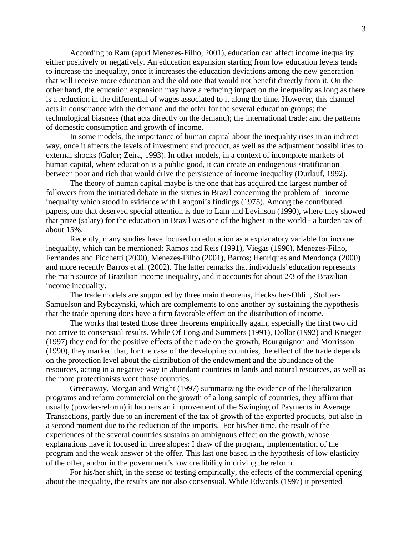According to Ram (apud Menezes-Filho, 2001), education can affect income inequality either positively or negatively. An education expansion starting from low education levels tends to increase the inequality, once it increases the education deviations among the new generation that will receive more education and the old one that would not benefit directly from it. On the other hand, the education expansion may have a reducing impact on the inequality as long as there is a reduction in the differential of wages associated to it along the time. However, this channel acts in consonance with the demand and the offer for the several education groups; the technological biasness (that acts directly on the demand); the international trade; and the patterns of domestic consumption and growth of income.

In some models, the importance of human capital about the inequality rises in an indirect way, once it affects the levels of investment and product, as well as the adjustment possibilities to external shocks (Galor; Zeira, 1993). In other models, in a context of incomplete markets of human capital, where education is a public good, it can create an endogenous stratification between poor and rich that would drive the persistence of income inequality (Durlauf, 1992).

The theory of human capital maybe is the one that has acquired the largest number of followers from the initiated debate in the sixties in Brazil concerning the problem of income inequality which stood in evidence with Langoni's findings (1975). Among the contributed papers, one that deserved special attention is due to Lam and Levinson (1990), where they showed that prize (salary) for the education in Brazil was one of the highest in the world - a burden tax of about 15%.

Recently, many studies have focused on education as a explanatory variable for income inequality, which can be mentioned: Ramos and Reis (1991), Viegas (1996), Menezes-Filho, Fernandes and Picchetti (2000), Menezes-Filho (2001), Barros; Henriques and Mendonça (2000) and more recently Barros et al. (2002). The latter remarks that individuals' education represents the main source of Brazilian income inequality, and it accounts for about 2/3 of the Brazilian income inequality.

The trade models are supported by three main theorems, Heckscher-Ohlin, Stolper-Samuelson and Rybczynski, which are complements to one another by sustaining the hypothesis that the trade opening does have a firm favorable effect on the distribution of income.

The works that tested those three theorems empirically again, especially the first two did not arrive to consensual results. While Of Long and Summers (1991), Dollar (1992) and Krueger (1997) they end for the positive effects of the trade on the growth, Bourguignon and Morrisson (1990), they marked that, for the case of the developing countries, the effect of the trade depends on the protection level about the distribution of the endowment and the abundance of the resources, acting in a negative way in abundant countries in lands and natural resources, as well as the more protectionists went those countries.

Greenaway, Morgan and Wright (1997) summarizing the evidence of the liberalization programs and reform commercial on the growth of a long sample of countries, they affirm that usually (powder-reform) it happens an improvement of the Swinging of Payments in Average Transactions, partly due to an increment of the tax of growth of the exported products, but also in a second moment due to the reduction of the imports. For his/her time, the result of the experiences of the several countries sustains an ambiguous effect on the growth, whose explanations have if focused in three slopes: I draw of the program, implementation of the program and the weak answer of the offer. This last one based in the hypothesis of low elasticity of the offer, and/or in the government's low credibility in driving the reform.

 For his/her shift, in the sense of testing empirically, the effects of the commercial opening about the inequality, the results are not also consensual. While Edwards (1997) it presented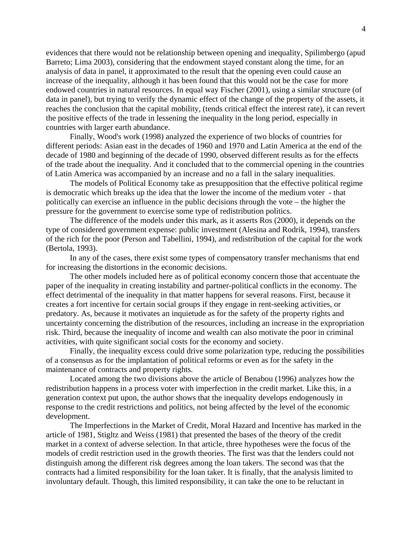evidences that there would not be relationship between opening and inequality, Spilimbergo (apud Barreto; Lima 2003), considering that the endowment stayed constant along the time, for an analysis of data in panel, it approximated to the result that the opening even could cause an increase of the inequality, although it has been found that this would not be the case for more endowed countries in natural resources. In equal way Fischer (2001), using a similar structure (of data in panel), but trying to verify the dynamic effect of the change of the property of the assets, it reaches the conclusion that the capital mobility, (tends critical effect the interest rate), it can revert the positive effects of the trade in lessening the inequality in the long period, especially in countries with larger earth abundance.

 Finally, Wood's work (1998) analyzed the experience of two blocks of countries for different periods: Asian east in the decades of 1960 and 1970 and Latin America at the end of the decade of 1980 and beginning of the decade of 1990, observed different results as for the effects of the trade about the inequality. And it concluded that to the commercial opening in the countries of Latin America was accompanied by an increase and no a fall in the salary inequalities.

The models of Political Economy take as presupposition that the effective political regime is democratic which breaks up the idea that the lower the income of the medium voter - that politically can exercise an influence in the public decisions through the vote – the higher the pressure for the government to exercise some type of redistribution politics.

The difference of the models under this mark, as it asserts Ros (2000), it depends on the type of considered government expense: public investment (Alesina and Rodrik, 1994), transfers of the rich for the poor (Person and Tabellini, 1994), and redistribution of the capital for the work (Bertola, 1993).

In any of the cases, there exist some types of compensatory transfer mechanisms that end for increasing the distortions in the economic decisions.

The other models included here as of political economy concern those that accentuate the paper of the inequality in creating instability and partner-political conflicts in the economy. The effect detrimental of the inequality in that matter happens for several reasons. First, because it creates a fort incentive for certain social groups if they engage in rent-seeking activities, or predatory. As, because it motivates an inquietude as for the safety of the property rights and uncertainty concerning the distribution of the resources, including an increase in the expropriation risk. Third, because the inequality of income and wealth can also motivate the poor in criminal activities, with quite significant social costs for the economy and society.

Finally, the inequality excess could drive some polarization type, reducing the possibilities of a consensus as for the implantation of political reforms or even as for the safety in the maintenance of contracts and property rights.

Located among the two divisions above the article of Benabou (1996) analyzes how the redistribution happens in a process voter with imperfection in the credit market. Like this, in a generation context put upon, the author shows that the inequality develops endogenously in response to the credit restrictions and politics, not being affected by the level of the economic development.

The Imperfections in the Market of Credit, Moral Hazard and Incentive has marked in the article of 1981, Stigltz and Weiss (1981) that presented the bases of the theory of the credit market in a context of adverse selection. In that article, three hypotheses were the focus of the models of credit restriction used in the growth theories. The first was that the lenders could not distinguish among the different risk degrees among the loan takers. The second was that the contracts had a limited responsibility for the loan taker. It is finally, that the analysis limited to involuntary default. Though, this limited responsibility, it can take the one to be reluctant in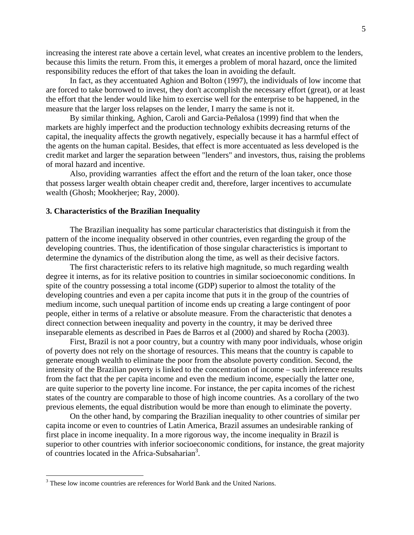increasing the interest rate above a certain level, what creates an incentive problem to the lenders, because this limits the return. From this, it emerges a problem of moral hazard, once the limited responsibility reduces the effort of that takes the loan in avoiding the default.

In fact, as they accentuated Aghion and Bolton (1997), the individuals of low income that are forced to take borrowed to invest, they don't accomplish the necessary effort (great), or at least the effort that the lender would like him to exercise well for the enterprise to be happened, in the measure that the larger loss relapses on the lender, I marry the same is not it.

 By similar thinking, Aghion, Caroli and Garcia-Peñalosa (1999) find that when the markets are highly imperfect and the production technology exhibits decreasing returns of the capital, the inequality affects the growth negatively, especially because it has a harmful effect of the agents on the human capital. Besides, that effect is more accentuated as less developed is the credit market and larger the separation between "lenders" and investors, thus, raising the problems of moral hazard and incentive.

Also, providing warranties affect the effort and the return of the loan taker, once those that possess larger wealth obtain cheaper credit and, therefore, larger incentives to accumulate wealth (Ghosh; Mookherjee; Ray, 2000).

### **3. Characteristics of the Brazilian Inequality**

The Brazilian inequality has some particular characteristics that distinguish it from the pattern of the income inequality observed in other countries, even regarding the group of the developing countries. Thus, the identification of those singular characteristics is important to determine the dynamics of the distribution along the time, as well as their decisive factors.

The first characteristic refers to its relative high magnitude, so much regarding wealth degree it interns, as for its relative position to countries in similar socioeconomic conditions. In spite of the country possessing a total income (GDP) superior to almost the totality of the developing countries and even a per capita income that puts it in the group of the countries of medium income, such unequal partition of income ends up creating a large contingent of poor people, either in terms of a relative or absolute measure. From the characteristic that denotes a direct connection between inequality and poverty in the country, it may be derived three inseparable elements as described in Paes de Barros et al (2000) and shared by Rocha (2003).

First, Brazil is not a poor country, but a country with many poor individuals, whose origin of poverty does not rely on the shortage of resources. This means that the country is capable to generate enough wealth to eliminate the poor from the absolute poverty condition. Second, the intensity of the Brazilian poverty is linked to the concentration of income – such inference results from the fact that the per capita income and even the medium income, especially the latter one, are quite superior to the poverty line income. For instance, the per capita incomes of the richest states of the country are comparable to those of high income countries. As a corollary of the two previous elements, the equal distribution would be more than enough to eliminate the poverty.

On the other hand, by comparing the Brazilian inequality to other countries of similar per capita income or even to countries of Latin America, Brazil assumes an undesirable ranking of first place in income inequality. In a more rigorous way, the income inequality in Brazil is superior to other countries with inferior socioeconomic conditions, for instance, the great majority of countries located in the Africa-Subsaharian<sup>[3](#page-4-0)</sup>.

 $\overline{a}$ 

<span id="page-4-0"></span><sup>&</sup>lt;sup>3</sup> These low income countries are references for World Bank and the United Narions.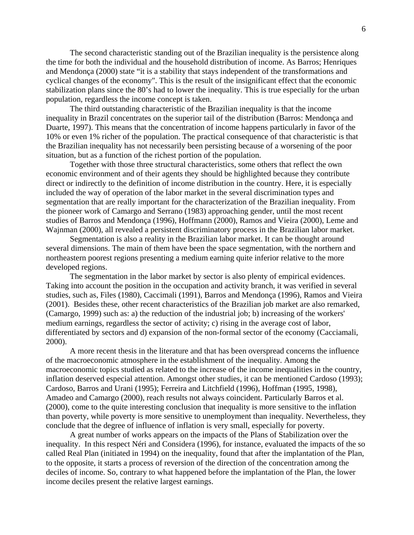The second characteristic standing out of the Brazilian inequality is the persistence along the time for both the individual and the household distribution of income. As Barros; Henriques and Mendonça (2000) state "it is a stability that stays independent of the transformations and cyclical changes of the economy". This is the result of the insignificant effect that the economic stabilization plans since the 80's had to lower the inequality. This is true especially for the urban population, regardless the income concept is taken.

The third outstanding characteristic of the Brazilian inequality is that the income inequality in Brazil concentrates on the superior tail of the distribution (Barros: Mendonça and Duarte, 1997). This means that the concentration of income happens particularly in favor of the 10% or even 1% richer of the population. The practical consequence of that characteristic is that the Brazilian inequality has not necessarily been persisting because of a worsening of the poor situation, but as a function of the richest portion of the population.

Together with those three structural characteristics, some others that reflect the own economic environment and of their agents they should be highlighted because they contribute direct or indirectly to the definition of income distribution in the country. Here, it is especially included the way of operation of the labor market in the several discrimination types and segmentation that are really important for the characterization of the Brazilian inequality. From the pioneer work of Camargo and Serrano (1983) approaching gender, until the most recent studies of Barros and Mendonça (1996), Hoffmann (2000), Ramos and Vieira (2000), Leme and Wajnman (2000), all revealed a persistent discriminatory process in the Brazilian labor market.

Segmentation is also a reality in the Brazilian labor market. It can be thought around several dimensions. The main of them have been the space segmentation, with the northern and northeastern poorest regions presenting a medium earning quite inferior relative to the more developed regions.

The segmentation in the labor market by sector is also plenty of empirical evidences. Taking into account the position in the occupation and activity branch, it was verified in several studies, such as, Files (1980), Caccimali (1991), Barros and Mendonça (1996), Ramos and Vieira (2001). Besides these, other recent characteristics of the Brazilian job market are also remarked, (Camargo, 1999) such as: a) the reduction of the industrial job; b) increasing of the workers' medium earnings, regardless the sector of activity; c) rising in the average cost of labor, differentiated by sectors and d) expansion of the non-formal sector of the economy (Cacciamali, 2000).

A more recent thesis in the literature and that has been overspread concerns the influence of the macroeconomic atmosphere in the establishment of the inequality. Among the macroeconomic topics studied as related to the increase of the income inequalities in the country, inflation deserved especial attention. Amongst other studies, it can be mentioned Cardoso (1993); Cardoso, Barros and Urani (1995); Ferreira and Litchfield (1996), Hoffman (1995, 1998), Amadeo and Camargo (2000), reach results not always coincident. Particularly Barros et al. (2000), come to the quite interesting conclusion that inequality is more sensitive to the inflation than poverty, while poverty is more sensitive to unemployment than inequality. Nevertheless, they conclude that the degree of influence of inflation is very small, especially for poverty.

A great number of works appears on the impacts of the Plans of Stabilization over the inequality. In this respect Néri and Considera (1996), for instance, evaluated the impacts of the so called Real Plan (initiated in 1994) on the inequality, found that after the implantation of the Plan, to the opposite, it starts a process of reversion of the direction of the concentration among the deciles of income. So, contrary to what happened before the implantation of the Plan, the lower income deciles present the relative largest earnings.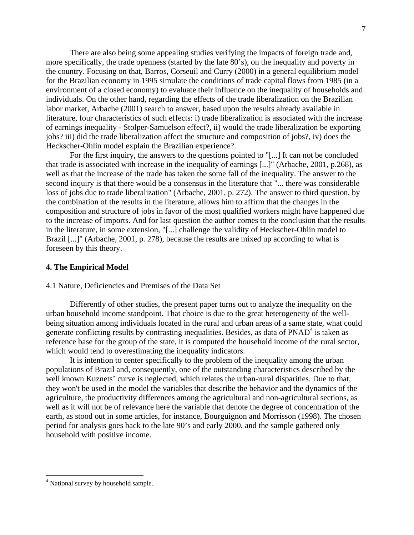There are also being some appealing studies verifying the impacts of foreign trade and, more specifically, the trade openness (started by the late 80's), on the inequality and poverty in the country. Focusing on that, Barros, Corseuil and Curry (2000) in a general equilibrium model for the Brazilian economy in 1995 simulate the conditions of trade capital flows from 1985 (in a environment of a closed economy) to evaluate their influence on the inequality of households and individuals. On the other hand, regarding the effects of the trade liberalization on the Brazilian labor market, Arbache (2001) search to answer, based upon the results already available in literature, four characteristics of such effects: i) trade liberalization is associated with the increase of earnings inequality - Stolper-Samuelson effect?, ii) would the trade liberalization be exporting jobs? iii) did the trade liberalization affect the structure and composition of jobs?, iv) does the Heckscher-Ohlin model explain the Brazilian experience?.

For the first inquiry, the answers to the questions pointed to "[...] It can not be concluded that trade is associated with increase in the inequality of earnings [...]" (Arbache, 2001, p.268), as well as that the increase of the trade has taken the some fall of the inequality. The answer to the second inquiry is that there would be a consensus in the literature that "... there was considerable loss of jobs due to trade liberalization" (Arbache, 2001, p. 272). The answer to third question, by the combination of the results in the literature, allows him to affirm that the changes in the composition and structure of jobs in favor of the most qualified workers might have happened due to the increase of imports. And for last question the author comes to the conclusion that the results in the literature, in some extension, "[...] challenge the validity of Heckscher-Ohlin model to Brazil [...]" (Arbache, 2001, p. 278), because the results are mixed up according to what is foreseen by this theory.

### **4. The Empirical Model**

# 4.1 Nature, Deficiencies and Premises of the Data Set

Differently of other studies, the present paper turns out to analyze the inequality on the urban household income standpoint. That choice is due to the great heterogeneity of the wellbeing situation among individuals located in the rural and urban areas of a same state, what could generate conflicting results by contrasting inequalities. Besides, as data of PNAD<sup>[4](#page-6-0)</sup> is taken as reference base for the group of the state, it is computed the household income of the rural sector, which would tend to overestimating the inequality indicators.

It is intention to center specifically to the problem of the inequality among the urban populations of Brazil and, consequently, one of the outstanding characteristics described by the well known Kuznets' curve is neglected, which relates the urban-rural disparities. Due to that, they won't be used in the model the variables that describe the behavior and the dynamics of the agriculture, the productivity differences among the agricultural and non-agricultural sections, as well as it will not be of relevance here the variable that denote the degree of concentration of the earth, as stood out in some articles, for instance, Bourguignon and Morrisson (1998). The chosen period for analysis goes back to the late 90's and early 2000, and the sample gathered only household with positive income.

7

 $\overline{a}$ 

<span id="page-6-0"></span><sup>&</sup>lt;sup>4</sup> National survey by household sample.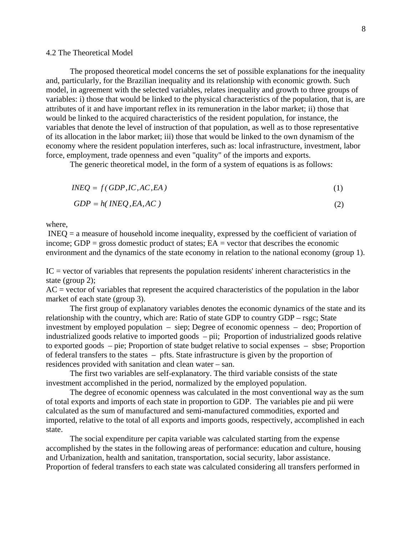#### 4.2 The Theoretical Model

The proposed theoretical model concerns the set of possible explanations for the inequality and, particularly, for the Brazilian inequality and its relationship with economic growth. Such model, in agreement with the selected variables, relates inequality and growth to three groups of variables: i) those that would be linked to the physical characteristics of the population, that is, are attributes of it and have important reflex in its remuneration in the labor market; ii) those that would be linked to the acquired characteristics of the resident population, for instance, the variables that denote the level of instruction of that population, as well as to those representative of its allocation in the labor market; iii) those that would be linked to the own dynamism of the economy where the resident population interferes, such as: local infrastructure, investment, labor force, employment, trade openness and even "quality" of the imports and exports.

The generic theoretical model, in the form of a system of equations is as follows:

$$
INEQ = f(GDP, IC, AC, EA)
$$
\n<sup>(1)</sup>

$$
GDP = h(\text{INEQ}, EA, AC) \tag{2}
$$

where,

 INEQ = a measure of household income inequality, expressed by the coefficient of variation of income; GDP = gross domestic product of states;  $EA$  = vector that describes the economic environment and the dynamics of the state economy in relation to the national economy (group 1).

 $IC = vector$  of variables that represents the population residents' inherent characteristics in the state (group 2);

 $AC = vector$  of variables that represent the acquired characteristics of the population in the labor market of each state (group 3).

 The first group of explanatory variables denotes the economic dynamics of the state and its relationship with the country, which are: Ratio of state GDP to country GDP – rsgc; State investment by employed population – siep; Degree of economic openness – deo; Proportion of industrialized goods relative to imported goods – pii; Proportion of industrialized goods relative to exported goods – pie; Proportion of state budget relative to social expenses – sbse; Proportion of federal transfers to the states – pfts. State infrastructure is given by the proportion of residences provided with sanitation and clean water – san.

The first two variables are self-explanatory. The third variable consists of the state investment accomplished in the period, normalized by the employed population.

The degree of economic openness was calculated in the most conventional way as the sum of total exports and imports of each state in proportion to GDP. The variables pie and pii were calculated as the sum of manufactured and semi-manufactured commodities, exported and imported, relative to the total of all exports and imports goods, respectively, accomplished in each state.

The social expenditure per capita variable was calculated starting from the expense accomplished by the states in the following areas of performance: education and culture, housing and Urbanization, health and sanitation, transportation, social security, labor assistance. Proportion of federal transfers to each state was calculated considering all transfers performed in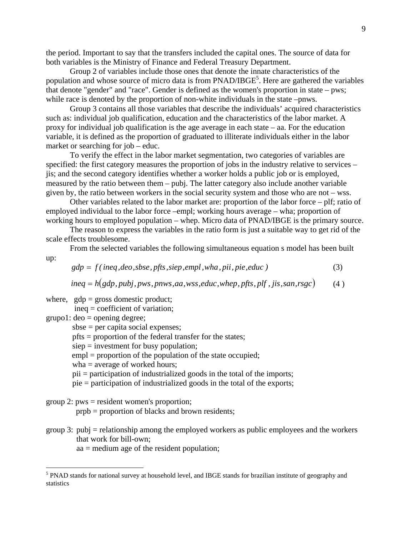the period. Important to say that the transfers included the capital ones. The source of data for both variables is the Ministry of Finance and Federal Treasury [Dep](#page-8-0)artment.

Group 2 of variables include those ones that denote the innate characteristics of the population and whose source of micro data is from  $\text{PNAD/IBGE}^5$ . Here are gathered the variables that denote "gender" and "race". Gender is defined as the women's proportion in state – pws; while race is denoted by the proportion of non-white individuals in the state –pnws.

Group 3 contains all those variables that describe the individuals' acquired characteristics such as: individual job qualification, education and the characteristics of the labor market. A proxy for individual job qualification is the age average in each state – aa. For the education variable, it is defined as the proportion of graduated to illiterate individuals either in the labor market or searching for job – educ.

To verify the effect in the labor market segmentation, two categories of variables are specified: the first category measures the proportion of jobs in the industry relative to services – jis; and the second category identifies whether a worker holds a public job or is employed, measured by the ratio between them – pubj. The latter category also include another variable given by, the ratio between workers in the social security system and those who are not – wss.

Other variables related to the labor market are: proportion of the labor force – plf; ratio of employed individual to the labor force –empl; working hours average – wha; proportion of working hours to employed population – whep. Micro data of PNAD/IBGE is the primary source.

The reason to express the variables in the ratio form is just a suitable way to get rid of the scale effects troublesome.

From the selected variables the following simultaneous equation s model has been built up:

 $gdp = f(ineq,deo, sbse, pfts, siep, empl, wha, più, pie, educ)$  (3)

 $ineq = h(gdp, pubj, pws, pnws, aa, wss, educ, when, pfts, plf, jis, san, rsgc$  (4)

where,  $gdp =$  gross domestic product; ineq = coefficient of variation;

 $grupo1: deo = opening degree;$ 

 $\overline{a}$ 

sbse = per capita social expenses;

pfts = proportion of the federal transfer for the states;

siep = investment for busy population;

empl = proportion of the population of the state occupied;

wha = average of worked hours;

pii = participation of industrialized goods in the total of the imports;

pie = participation of industrialized goods in the total of the exports;

group 2: pws = resident women's proportion;

prpb = proportion of blacks and brown residents;

group 3: pubj = relationship among the employed workers as public employees and the workers that work for bill-own;

aa = medium age of the resident population;

<span id="page-8-0"></span><sup>&</sup>lt;sup>5</sup> PNAD stands for national survey at household level, and IBGE stands for brazilian institute of geography and statistics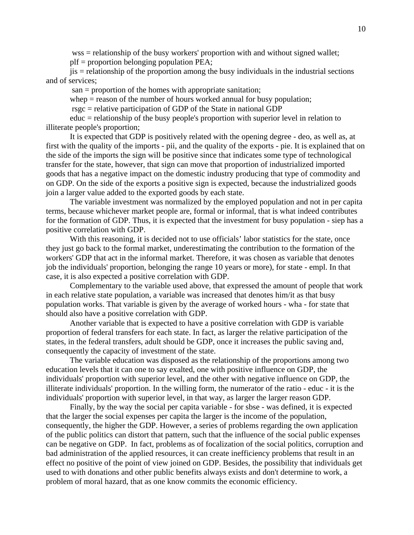wss = relationship of the busy workers' proportion with and without signed wallet; plf = proportion belonging population PEA;

 jis = relationship of the proportion among the busy individuals in the industrial sections and of services;

san = proportion of the homes with appropriate sanitation;

whep  $=$  reason of the number of hours worked annual for busy population;

rsgc = relative participation of GDP of the State in national GDP

educ = relationship of the busy people's proportion with superior level in relation to illiterate people's proportion;

 It is expected that GDP is positively related with the opening degree - deo, as well as, at first with the quality of the imports - pii, and the quality of the exports - pie. It is explained that on the side of the imports the sign will be positive since that indicates some type of technological transfer for the state, however, that sign can move that proportion of industrialized imported goods that has a negative impact on the domestic industry producing that type of commodity and on GDP. On the side of the exports a positive sign is expected, because the industrialized goods join a larger value added to the exported goods by each state.

The variable investment was normalized by the employed population and not in per capita terms, because whichever market people are, formal or informal, that is what indeed contributes for the formation of GDP. Thus, it is expected that the investment for busy population - siep has a positive correlation with GDP.

With this reasoning, it is decided not to use officials' labor statistics for the state, once they just go back to the formal market, underestimating the contribution to the formation of the workers' GDP that act in the informal market. Therefore, it was chosen as variable that denotes job the individuals' proportion, belonging the range 10 years or more), for state - empl. In that case, it is also expected a positive correlation with GDP.

Complementary to the variable used above, that expressed the amount of people that work in each relative state population, a variable was increased that denotes him/it as that busy population works. That variable is given by the average of worked hours - wha - for state that should also have a positive correlation with GDP.

Another variable that is expected to have a positive correlation with GDP is variable proportion of federal transfers for each state. In fact, as larger the relative participation of the states, in the federal transfers, adult should be GDP, once it increases the public saving and, consequently the capacity of investment of the state.

The variable education was disposed as the relationship of the proportions among two education levels that it can one to say exalted, one with positive influence on GDP, the individuals' proportion with superior level, and the other with negative influence on GDP, the illiterate individuals' proportion. In the willing form, the numerator of the ratio - educ - it is the individuals' proportion with superior level, in that way, as larger the larger reason GDP.

Finally, by the way the social per capita variable - for sbse - was defined, it is expected that the larger the social expenses per capita the larger is the income of the population, consequently, the higher the GDP. However, a series of problems regarding the own application of the public politics can distort that pattern, such that the influence of the social public expenses can be negative on GDP. In fact, problems as of focalization of the social politics, corruption and bad administration of the applied resources, it can create inefficiency problems that result in an effect no positive of the point of view joined on GDP. Besides, the possibility that individuals get used to with donations and other public benefits always exists and don't determine to work, a problem of moral hazard, that as one know commits the economic efficiency.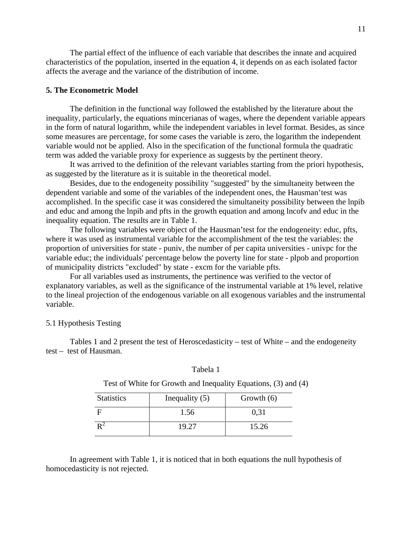The partial effect of the influence of each variable that describes the innate and acquired characteristics of the population, inserted in the equation 4, it depends on as each isolated factor affects the average and the variance of the distribution of income.

#### **5. The Econometric Model**

 The definition in the functional way followed the established by the literature about the inequality, particularly, the equations mincerianas of wages, where the dependent variable appears in the form of natural logarithm, while the independent variables in level format. Besides, as since some measures are percentage, for some cases the variable is zero, the logarithm the independent variable would not be applied. Also in the specification of the functional formula the quadratic term was added the variable proxy for experience as suggests by the pertinent theory.

It was arrived to the definition of the relevant variables starting from the priori hypothesis, as suggested by the literature as it is suitable in the theoretical model.

Besides, due to the endogeneity possibility "suggested" by the simultaneity between the dependent variable and some of the variables of the independent ones, the Hausman'test was accomplished. In the specific case it was considered the simultaneity possibility between the lnpib and educ and among the lnpib and pfts in the growth equation and among lncofv and educ in the inequality equation. The results are in Table 1.

The following variables were object of the Hausman'test for the endogeneity: educ, pfts, where it was used as instrumental variable for the accomplishment of the test the variables: the proportion of universities for state - puniv, the number of per capita universities - univpc for the variable educ; the individuals' percentage below the poverty line for state - plpob and proportion of municipality districts "excluded" by state - excm for the variable pfts.

For all variables used as instruments, the pertinence was verified to the vector of explanatory variables, as well as the significance of the instrumental variable at 1% level, relative to the lineal projection of the endogenous variable on all exogenous variables and the instrumental variable.

# 5.1 Hypothesis Testing

Tables 1 and 2 present the test of Heroscedasticity – test of White – and the endogeneity test – test of Hausman.

| <b>Statistics</b> | Inequality $(5)$ | Growth $(6)$ |
|-------------------|------------------|--------------|
|                   | 1.56             | 0,31         |
|                   | 19.27            | 15.26        |

Tabela 1

Test of White for Growth and Inequality Equations, (3) and (4)

In agreement with Table 1, it is noticed that in both equations the null hypothesis of homocedasticity is not rejected.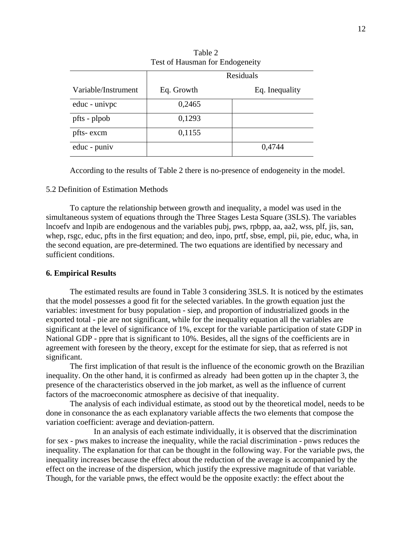| Test of Hausman for Endogeneity |            |                |  |  |
|---------------------------------|------------|----------------|--|--|
|                                 | Residuals  |                |  |  |
| Variable/Instrument             | Eq. Growth | Eq. Inequality |  |  |
| educ - univpc                   | 0,2465     |                |  |  |
| pfts - plpob                    | 0,1293     |                |  |  |
| pfts-excm                       | 0,1155     |                |  |  |
| educ - puniv                    |            | 0,4744         |  |  |

Table 2 Test of Hausman for Endogeneity

According to the results of Table 2 there is no-presence of endogeneity in the model.

# 5.2 Definition of Estimation Methods

To capture the relationship between growth and inequality, a model was used in the simultaneous system of equations through the Three Stages Lesta Square (3SLS). The variables lncoefv and lnpib are endogenous and the variables pubj, pws, rpbpp, aa, aa2, wss, plf, jis, san, whep, rsgc, educ, pfts in the first equation; and deo, inpo, prtf, sbse, empl, pii, pie, educ, wha, in the second equation, are pre-determined. The two equations are identified by necessary and sufficient conditions.

# **6. Empirical Results**

The estimated results are found in Table 3 considering 3SLS. It is noticed by the estimates that the model possesses a good fit for the selected variables. In the growth equation just the variables: investment for busy population - siep, and proportion of industrialized goods in the exported total - pie are not significant, while for the inequality equation all the variables are significant at the level of significance of 1%, except for the variable participation of state GDP in National GDP - ppre that is significant to 10%. Besides, all the signs of the coefficients are in agreement with foreseen by the theory, except for the estimate for siep, that as referred is not significant.

The first implication of that result is the influence of the economic growth on the Brazilian inequality. On the other hand, it is confirmed as already had been gotten up in the chapter 3, the presence of the characteristics observed in the job market, as well as the influence of current factors of the macroeconomic atmosphere as decisive of that inequality.

The analysis of each individual estimate, as stood out by the theoretical model, needs to be done in consonance the as each explanatory variable affects the two elements that compose the variation coefficient: average and deviation-pattern.

In an analysis of each estimate individually, it is observed that the discrimination for sex - pws makes to increase the inequality, while the racial discrimination - pnws reduces the inequality. The explanation for that can be thought in the following way. For the variable pws, the inequality increases because the effect about the reduction of the average is accompanied by the effect on the increase of the dispersion, which justify the expressive magnitude of that variable. Though, for the variable pnws, the effect would be the opposite exactly: the effect about the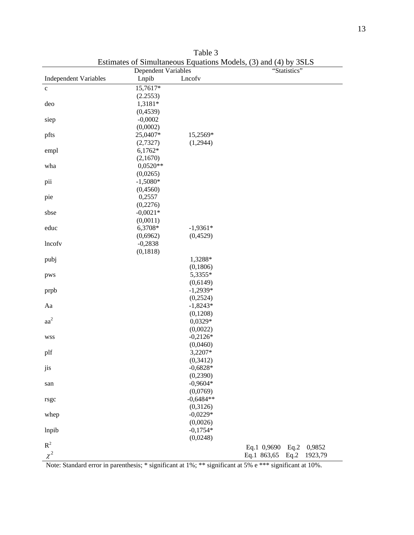|                              | <b>Dependent Variables</b> |             | ESUMARIES OF SHIRIRANCOUS Equations Models, $(3)$ and $(4)$ by 33LS<br>"Statistics" |  |  |
|------------------------------|----------------------------|-------------|-------------------------------------------------------------------------------------|--|--|
| <b>Independent Variables</b> | Lnpib                      | Lncofv      |                                                                                     |  |  |
|                              |                            |             |                                                                                     |  |  |
| $\mathbf c$                  | 15,7617*                   |             |                                                                                     |  |  |
|                              | (2.2553)                   |             |                                                                                     |  |  |
| deo                          | 1,3181*                    |             |                                                                                     |  |  |
|                              | (0,4539)                   |             |                                                                                     |  |  |
| siep                         | $-0,0002$                  |             |                                                                                     |  |  |
|                              | (0,0002)                   |             |                                                                                     |  |  |
| pfts                         | 25,0407*                   | 15,2569*    |                                                                                     |  |  |
|                              | (2,7327)                   | (1,2944)    |                                                                                     |  |  |
| empl                         | $6,1762*$                  |             |                                                                                     |  |  |
|                              | (2,1670)                   |             |                                                                                     |  |  |
| wha                          | $0,0520**$                 |             |                                                                                     |  |  |
|                              | (0,0265)                   |             |                                                                                     |  |  |
| pii                          | $-1,5080*$                 |             |                                                                                     |  |  |
|                              | (0,4560)                   |             |                                                                                     |  |  |
| pie                          | 0,2557                     |             |                                                                                     |  |  |
|                              | (0,2276)                   |             |                                                                                     |  |  |
| sbse                         | $-0,0021*$                 |             |                                                                                     |  |  |
|                              | (0,0011)                   |             |                                                                                     |  |  |
| educ                         | 6,3708*                    | $-1,9361*$  |                                                                                     |  |  |
|                              | (0,6962)                   | (0,4529)    |                                                                                     |  |  |
| lncofv                       | $-0,2838$                  |             |                                                                                     |  |  |
|                              | (0, 1818)                  |             |                                                                                     |  |  |
| pubj                         |                            | 1,3288*     |                                                                                     |  |  |
|                              |                            | (0,1806)    |                                                                                     |  |  |
| pws                          |                            | 5,3355*     |                                                                                     |  |  |
|                              |                            | (0,6149)    |                                                                                     |  |  |
| prpb                         |                            | $-1,2939*$  |                                                                                     |  |  |
|                              |                            | (0,2524)    |                                                                                     |  |  |
| Aa                           |                            | $-1,8243*$  |                                                                                     |  |  |
|                              |                            | (0,1208)    |                                                                                     |  |  |
| aa <sup>2</sup>              |                            | 0,0329*     |                                                                                     |  |  |
|                              |                            | (0,0022)    |                                                                                     |  |  |
| <b>WSS</b>                   |                            | $-0,2126*$  |                                                                                     |  |  |
|                              |                            | (0,0460)    |                                                                                     |  |  |
| plf                          |                            | 3,2207*     |                                                                                     |  |  |
|                              |                            | (0,3412)    |                                                                                     |  |  |
| J1S                          |                            | $-0,6828*$  |                                                                                     |  |  |
|                              |                            | (0,2390)    |                                                                                     |  |  |
| san                          |                            | $-0,9604*$  |                                                                                     |  |  |
|                              |                            | (0,0769)    |                                                                                     |  |  |
| rsgc                         |                            | $-0,6484**$ |                                                                                     |  |  |
|                              |                            | (0,3126)    |                                                                                     |  |  |
| whep                         |                            | $-0,0229*$  |                                                                                     |  |  |
|                              |                            | (0,0026)    |                                                                                     |  |  |
| lnpib                        |                            | $-0,1754*$  |                                                                                     |  |  |
|                              |                            | (0,0248)    |                                                                                     |  |  |
| $R^2$                        |                            |             |                                                                                     |  |  |
|                              |                            |             | Eq.1 0,9690<br>Eq.2<br>0,9852                                                       |  |  |
| $\chi^2$                     |                            |             | Eq.1 863,65<br>1923,79<br>Eq.2                                                      |  |  |

Table 3 Estimates of Simultaneous Equations Models, (3) and (4) by 3SLS

Note: Standard error in parenthesis; \* significant at 1%; \*\* significant at 5% e \*\*\* significant at 10%.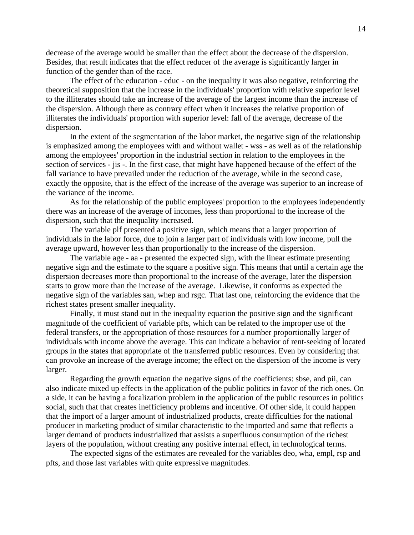decrease of the average would be smaller than the effect about the decrease of the dispersion. Besides, that result indicates that the effect reducer of the average is significantly larger in function of the gender than of the race.

The effect of the education - educ - on the inequality it was also negative, reinforcing the theoretical supposition that the increase in the individuals' proportion with relative superior level to the illiterates should take an increase of the average of the largest income than the increase of the dispersion. Although there as contrary effect when it increases the relative proportion of illiterates the individuals' proportion with superior level: fall of the average, decrease of the dispersion.

In the extent of the segmentation of the labor market, the negative sign of the relationship is emphasized among the employees with and without wallet - wss - as well as of the relationship among the employees' proportion in the industrial section in relation to the employees in the section of services - jis -. In the first case, that might have happened because of the effect of the fall variance to have prevailed under the reduction of the average, while in the second case, exactly the opposite, that is the effect of the increase of the average was superior to an increase of the variance of the income.

As for the relationship of the public employees' proportion to the employees independently there was an increase of the average of incomes, less than proportional to the increase of the dispersion, such that the inequality increased.

The variable plf presented a positive sign, which means that a larger proportion of individuals in the labor force, due to join a larger part of individuals with low income, pull the average upward, however less than proportionally to the increase of the dispersion.

The variable age - aa - presented the expected sign, with the linear estimate presenting negative sign and the estimate to the square a positive sign. This means that until a certain age the dispersion decreases more than proportional to the increase of the average, later the dispersion starts to grow more than the increase of the average. Likewise, it conforms as expected the negative sign of the variables san, whep and rsgc. That last one, reinforcing the evidence that the richest states present smaller inequality.

Finally, it must stand out in the inequality equation the positive sign and the significant magnitude of the coefficient of variable pfts, which can be related to the improper use of the federal transfers, or the appropriation of those resources for a number proportionally larger of individuals with income above the average. This can indicate a behavior of rent-seeking of located groups in the states that appropriate of the transferred public resources. Even by considering that can provoke an increase of the average income; the effect on the dispersion of the income is very larger.

Regarding the growth equation the negative signs of the coefficients: sbse, and pii, can also indicate mixed up effects in the application of the public politics in favor of the rich ones. On a side, it can be having a focalization problem in the application of the public resources in politics social, such that that creates inefficiency problems and incentive. Of other side, it could happen that the import of a larger amount of industrialized products, create difficulties for the national producer in marketing product of similar characteristic to the imported and same that reflects a larger demand of products industrialized that assists a superfluous consumption of the richest layers of the population, without creating any positive internal effect, in technological terms.

The expected signs of the estimates are revealed for the variables deo, wha, empl, rsp and pfts, and those last variables with quite expressive magnitudes.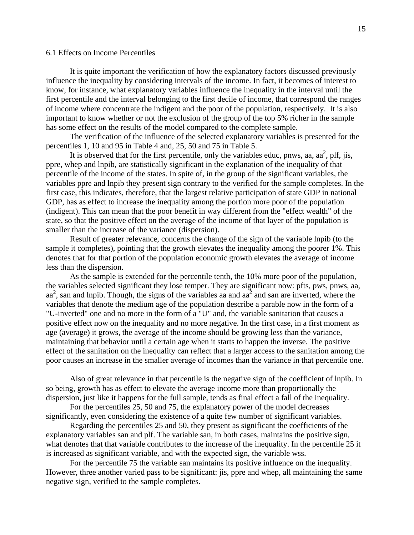#### 6.1 Effects on Income Percentiles

It is quite important the verification of how the explanatory factors discussed previously influence the inequality by considering intervals of the income. In fact, it becomes of interest to know, for instance, what explanatory variables influence the inequality in the interval until the first percentile and the interval belonging to the first decile of income, that correspond the ranges of income where concentrate the indigent and the poor of the population, respectively. It is also important to know whether or not the exclusion of the group of the top 5% richer in the sample has some effect on the results of the model compared to the complete sample.

The verification of the influence of the selected explanatory variables is presented for the percentiles 1, 10 and 95 in Table 4 and, 25, 50 and 75 in Table 5.

It is observed that for the first percentile, only the variables educ, pnws, aa,  $aa^2$ , plf, jis, ppre, whep and lnpib, are statistically significant in the explanation of the inequality of that percentile of the income of the states. In spite of, in the group of the significant variables, the variables ppre and lnpib they present sign contrary to the verified for the sample completes. In the first case, this indicates, therefore, that the largest relative participation of state GDP in national GDP, has as effect to increase the inequality among the portion more poor of the population (indigent). This can mean that the poor benefit in way different from the "effect wealth" of the state, so that the positive effect on the average of the income of that layer of the population is smaller than the increase of the variance (dispersion).

Result of greater relevance, concerns the change of the sign of the variable lnpib (to the sample it completes), pointing that the growth elevates the inequality among the poorer 1%. This denotes that for that portion of the population economic growth elevates the average of income less than the dispersion.

As the sample is extended for the percentile tenth, the 10% more poor of the population, the variables selected significant they lose temper. They are significant now: pfts, pws, pnws, aa,  $aa<sup>2</sup>$ , san and lnpib. Though, the signs of the variables aa and  $aa<sup>2</sup>$  and san are inverted, where the variables that denote the medium age of the population describe a parable now in the form of a "U-inverted" one and no more in the form of a "U" and, the variable sanitation that causes a positive effect now on the inequality and no more negative. In the first case, in a first moment as age (average) it grows, the average of the income should be growing less than the variance, maintaining that behavior until a certain age when it starts to happen the inverse. The positive effect of the sanitation on the inequality can reflect that a larger access to the sanitation among the poor causes an increase in the smaller average of incomes than the variance in that percentile one.

Also of great relevance in that percentile is the negative sign of the coefficient of lnpib. In so being, growth has as effect to elevate the average income more than proportionally the dispersion, just like it happens for the full sample, tends as final effect a fall of the inequality.

For the percentiles 25, 50 and 75, the explanatory power of the model decreases significantly, even considering the existence of a quite few number of significant variables.

Regarding the percentiles 25 and 50, they present as significant the coefficients of the explanatory variables san and plf. The variable san, in both cases, maintains the positive sign, what denotes that that variable contributes to the increase of the inequality. In the percentile 25 it is increased as significant variable, and with the expected sign, the variable wss.

For the percentile 75 the variable san maintains its positive influence on the inequality. However, three another varied pass to be significant: jis, ppre and whep, all maintaining the same negative sign, verified to the sample completes.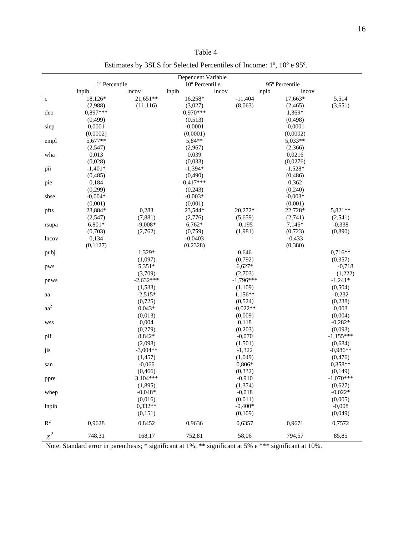| Table | 4 |
|-------|---|
|-------|---|

Estimates by 3SLS for Selected Percentiles of Income: 1º, 10º e 95º.

|                 | Dependent Variable<br>1º Percentile<br>10° Percentil e<br>95° Percentile |                       |            |                |           |             |
|-----------------|--------------------------------------------------------------------------|-----------------------|------------|----------------|-----------|-------------|
|                 | lnpib                                                                    | lncov                 | lnpib      | lnpib<br>lncov | lncov     |             |
| $\mathbf c$     | 18,126*                                                                  | $2\overline{1,651**}$ | 16,258*    | $-11,404$      | 17,663*   | 5,514       |
|                 | (2,988)                                                                  | (11, 116)             | (3,027)    | (8,063)        | (2, 465)  | (3,651)     |
| deo             | $0.897***$                                                               |                       | $0.970***$ |                | 1,369*    |             |
|                 | (0, 499)                                                                 |                       | (0,513)    |                | (0, 498)  |             |
| siep            | 0,0001                                                                   |                       | $-0,0001$  |                | $-0,0001$ |             |
|                 | (0,0002)                                                                 |                       | (0,0001)   |                | (0,0002)  |             |
| empl            | 5,677**                                                                  |                       | 5,84**     |                | 5,033**   |             |
|                 | (2,547)                                                                  |                       | (2,967)    |                | (2,366)   |             |
| wha             | 0,013                                                                    |                       | 0,039      |                | 0,0216    |             |
|                 | (0,028)                                                                  |                       | (0,033)    |                | (0,0276)  |             |
| pii             | $-1,401*$                                                                |                       | $-1,394*$  |                | $-1,528*$ |             |
|                 | (0, 485)                                                                 |                       | (0, 490)   |                | (0, 486)  |             |
| pie             | 0,184                                                                    |                       | $0,417***$ |                | 0,362     |             |
|                 | (0,299)                                                                  |                       | (0,243)    |                | (0,240)   |             |
| sbse            | $-0,004*$                                                                |                       | $-0,003*$  |                | $-0,003*$ |             |
|                 | (0,001)                                                                  |                       | (0,001)    |                | (0,001)   |             |
| pfts            | 23,884*                                                                  | 0,283                 | 23,544*    | 20,272*        | 22,728*   | 5,821**     |
|                 | (2,547)                                                                  | (7,881)               | (2,776)    | (5,659)        | (2,741)   | (2,541)     |
| rsupa           | $6,801*$                                                                 | $-9,008*$             | $6,762*$   | $-0,195$       | 7,146*    | $-0,338$    |
|                 | (0,703)                                                                  | (2,762)               | (0,759)    | (1,981)        | (0,723)   | (0, 890)    |
| lncov           | 0,134                                                                    |                       | $-0,0403$  |                | $-0,433$  |             |
|                 | (0,1127)                                                                 |                       | (0, 2328)  |                | (0, 380)  |             |
| pubj            |                                                                          | 1,329*                |            | 0,646          |           | $0,716**$   |
|                 |                                                                          | (1,097)               |            | (0,792)        |           | (0, 357)    |
| pws             |                                                                          | 5,351*                |            | $6,627*$       |           | $-0,718$    |
|                 |                                                                          | (3,709)               |            | (2,703)        |           | (1,222)     |
| pnws            |                                                                          | $-2,632***$           |            | $-1,796***$    |           | $-1,241*$   |
|                 |                                                                          | (1,533)               |            | (1,109)        |           | (0, 504)    |
| aa              |                                                                          | $-2,515*$             |            | $1,156**$      |           | $-0,232$    |
|                 |                                                                          | (0,725)               |            | (0,524)        |           | (0, 238)    |
| aa <sup>2</sup> |                                                                          | $0,043*$              |            | $-0,022**$     |           | 0,003       |
|                 |                                                                          | (0,013)               |            | (0,009)        |           | (0,004)     |
| <b>WSS</b>      |                                                                          | 0,004                 |            | 0,118          |           | $-0,282*$   |
|                 |                                                                          | (0,279)               |            | (0,203)        |           | (0,093)     |
| plf             |                                                                          | 8,842*                |            | $-0,070$       |           | $-1,155***$ |
|                 |                                                                          | (2,098)               |            | (1,501)        |           | (0,684)     |
| jis             |                                                                          | $-3,004**$            |            | $-1,322$       |           | $-0,986**$  |
|                 |                                                                          | (1, 457)              |            | (1,049)        |           | (0, 476)    |
| san             |                                                                          | $-0,066$              |            | $0,806*$       |           | 0,358**     |
|                 |                                                                          | (0, 466)              |            | (0, 332)       |           | (0,149)     |
| ppre            |                                                                          | 3,104***              |            | $-0,910$       |           | $-1,070***$ |
|                 |                                                                          | (1, 895)              |            | (1, 374)       |           | (0,627)     |
| whep            |                                                                          | $-0.048*$             |            | $-0,018$       |           | $-0,022*$   |
|                 |                                                                          | (0,016)               |            | (0,011)        |           | (0,005)     |
| lnpib           |                                                                          | $0,332**$             |            | $-0,400*$      |           | $-0,008$    |
|                 |                                                                          | (0, 151)              |            | (0,109)        |           | (0,049)     |
| $R^2$           | 0,9628                                                                   | 0,8452                | 0,9636     | 0,6357         | 0,9671    | 0,7572      |
| $\chi^2$        | 748,31                                                                   | 168,17                | 752,81     | 58,06          | 794,57    | 85,85       |

Note: Standard error in parenthesis; \* significant at 1%; \*\* significant at 5% e \*\*\* significant at 10%.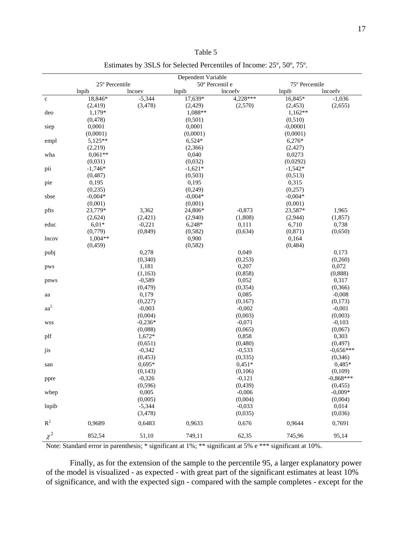| `able |  |
|-------|--|
|-------|--|

|                 | Dependent Variable<br>50° Percentil e<br>25° Percentile |           | 75° Percentile |          |            |             |
|-----------------|---------------------------------------------------------|-----------|----------------|----------|------------|-------------|
|                 | lnpib                                                   | lncoev    | lnpib          | lncoefy  | lnpib      | lncoefv     |
| $\mathbf c$     | 18,846*                                                 | $-5,344$  | 17,639*        | 4,228*** | 16,845*    | $-1,036$    |
|                 | (2, 419)                                                | (3, 478)  | (2, 429)       | (2,570)  | (2, 453)   | (2,655)     |
| deo             | 1,179*                                                  |           | 1,088**        |          | $1,162**$  |             |
|                 | (0, 478)                                                |           | (0,501)        |          | (0,510)    |             |
| siep            | 0,0001                                                  |           | 0,0001         |          | $-0,00001$ |             |
|                 | (0,0001)                                                |           | (0,0001)       |          | (0,0001)   |             |
| empl            | 5,125**                                                 |           | $6,524*$       |          | 6,276*     |             |
|                 | (2,219)                                                 |           | (2,366)        |          | (2,427)    |             |
| wha             | $0,061**$                                               |           | 0,040          |          | 0,0273     |             |
|                 | (0,031)                                                 |           | (0,032)        |          | (0,0292)   |             |
| pii             | $-1,746*$                                               |           | $-1,621*$      |          | $-1,542*$  |             |
|                 | (0, 487)                                                |           | (0,503)        |          | (0,513)    |             |
| pie             | 0,195                                                   |           | 0,195          |          | 0,315      |             |
|                 | (0, 235)                                                |           | (0, 249)       |          | (0,257)    |             |
| sbse            | $-0,004*$                                               |           | $-0,004*$      |          | $-0,004*$  |             |
|                 | (0,001)                                                 |           | (0,001)        |          | (0,001)    |             |
| pfts            | 23,779*                                                 | 3,362     | 24,806*        | $-0,873$ | 23,587*    | 1,965       |
|                 | (2,624)                                                 | (2, 421)  | (2,940)        | (1,808)  | (2,944)    | (1, 857)    |
| educ            | $6,01*$                                                 | $-0,221$  | $6,248*$       | 0,111    | 6,710      | 0,738       |
|                 | (0,779)                                                 | (0, 849)  | (0, 582)       | (0, 634) | (0, 871)   | (0,650)     |
| lncov           | $1,004**$                                               |           | 0,900          |          | 0,164      |             |
|                 | (0, 459)                                                |           | (0, 582)       |          | (0, 484)   |             |
| pubj            |                                                         | 0,278     |                | 0,049    |            | 0.173       |
|                 |                                                         | (0, 340)  |                | (0,253)  |            | (0,260)     |
| pws             |                                                         | 1,181     |                | 0,207    |            | 0,072       |
|                 |                                                         | (1, 163)  |                | (0, 858) |            | (0,888)     |
| pnws            |                                                         | $-0,589$  |                | 0,052    |            | 0,317       |
|                 |                                                         | (0, 479)  |                | (0, 354) |            | (0, 366)    |
| aa              |                                                         | 0,179     |                | 0,085    |            | $-0,008$    |
|                 |                                                         | (0,227)   |                | (0,167)  |            | (0,173)     |
| aa <sup>2</sup> |                                                         | $-0,003$  |                | $-0,002$ |            | $-0,001$    |
|                 |                                                         | (0,004)   |                | (0,003)  |            | (0,003)     |
| <b>WSS</b>      |                                                         | $-0,236*$ |                | $-0,071$ |            | $-0,103$    |
|                 |                                                         | (0,088)   |                | (0,065)  |            | (0,067)     |
| plf             |                                                         | $1,672*$  |                | 0,858    |            | 0,303       |
|                 |                                                         | (0,651)   |                | (0, 480) |            | (0, 497)    |
| jis             |                                                         | $-0,342$  |                | $-0,533$ |            | $-0,656***$ |
|                 |                                                         | (0, 453)  |                | (0, 335) |            | (0, 346)    |
| san             |                                                         | $0,695*$  |                | $0,451*$ |            | $0,485*$    |
|                 |                                                         | (0,143)   |                | (0,106)  |            | (0,109)     |
| ppre            |                                                         | $-0,326$  |                | $-0,121$ |            | $-0,868***$ |
|                 |                                                         | (0, 596)  |                | (0, 439) |            | (0, 455)    |
| whep            |                                                         | 0,005     |                | $-0,006$ |            | $-0.009*$   |
|                 |                                                         | (0,005)   |                | (0,004)  |            | (0,004)     |
| lnpib           |                                                         | $-5,344$  |                | $-0,033$ |            | 0,014       |
|                 |                                                         | (3, 478)  |                | (0,035)  |            | (0,036)     |
| $R^2$           | 0,9689                                                  | 0,6483    | 0,9633         | 0,676    | 0,9644     | 0,7691      |
| $\chi^2$        | 852,54                                                  | 51,10     | 749,11         | 62,35    | 745,96     | 95,14       |

Estimates by 3SLS for Selected Percentiles of Income: 25º, 50º, 75º.

Note: Standard error in parenthesis; \* significant at 1%; \*\* significant at 5% e \*\*\* significant at 10%.

Finally, as for the extension of the sample to the percentile 95, a larger explanatory power of the model is visualized - as expected - with great part of the significant estimates at least 10% of significance, and with the expected sign - compared with the sample completes - except for the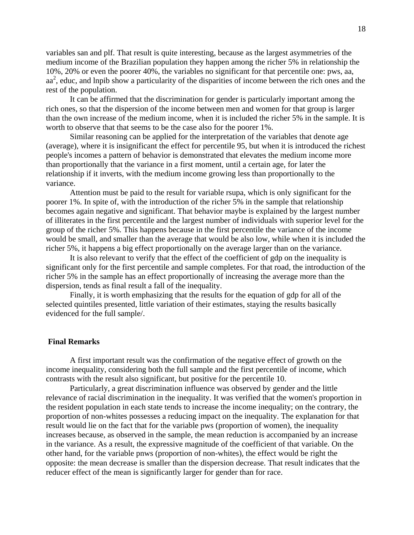variables san and plf. That result is quite interesting, because as the largest asymmetries of the medium income of the Brazilian population they happen among the richer 5% in relationship the 10%, 20% or even the poorer 40%, the variables no significant for that percentile one: pws, aa, aa<sup>2</sup>, educ, and lnpib show a particularity of the disparities of income between the rich ones and the rest of the population.

It can be affirmed that the discrimination for gender is particularly important among the rich ones, so that the dispersion of the income between men and women for that group is larger than the own increase of the medium income, when it is included the richer 5% in the sample. It is worth to observe that that seems to be the case also for the poorer 1%.

Similar reasoning can be applied for the interpretation of the variables that denote age (average), where it is insignificant the effect for percentile 95, but when it is introduced the richest people's incomes a pattern of behavior is demonstrated that elevates the medium income more than proportionally that the variance in a first moment, until a certain age, for later the relationship if it inverts, with the medium income growing less than proportionally to the variance.

Attention must be paid to the result for variable rsupa, which is only significant for the poorer 1%. In spite of, with the introduction of the richer 5% in the sample that relationship becomes again negative and significant. That behavior maybe is explained by the largest number of illiterates in the first percentile and the largest number of individuals with superior level for the group of the richer 5%. This happens because in the first percentile the variance of the income would be small, and smaller than the average that would be also low, while when it is included the richer 5%, it happens a big effect proportionally on the average larger than on the variance.

It is also relevant to verify that the effect of the coefficient of gdp on the inequality is significant only for the first percentile and sample completes. For that road, the introduction of the richer 5% in the sample has an effect proportionally of increasing the average more than the dispersion, tends as final result a fall of the inequality.

Finally, it is worth emphasizing that the results for the equation of gdp for all of the selected quintiles presented, little variation of their estimates, staying the results basically evidenced for the full sample/.

# **Final Remarks**

 A first important result was the confirmation of the negative effect of growth on the income inequality, considering both the full sample and the first percentile of income, which contrasts with the result also significant, but positive for the percentile 10.

Particularly, a great discrimination influence was observed by gender and the little relevance of racial discrimination in the inequality. It was verified that the women's proportion in the resident population in each state tends to increase the income inequality; on the contrary, the proportion of non-whites possesses a reducing impact on the inequality. The explanation for that result would lie on the fact that for the variable pws (proportion of women), the inequality increases because, as observed in the sample, the mean reduction is accompanied by an increase in the variance. As a result, the expressive magnitude of the coefficient of that variable. On the other hand, for the variable pnws (proportion of non-whites), the effect would be right the opposite: the mean decrease is smaller than the dispersion decrease. That result indicates that the reducer effect of the mean is significantly larger for gender than for race.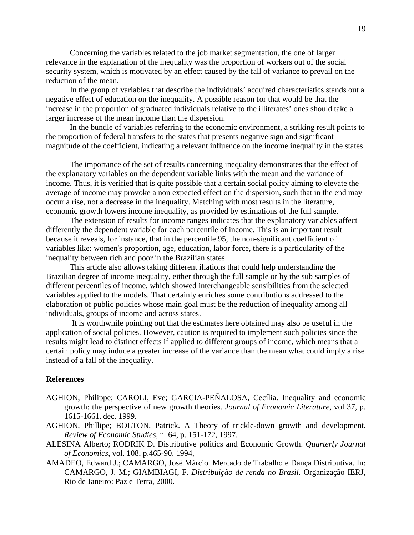Concerning the variables related to the job market segmentation, the one of larger relevance in the explanation of the inequality was the proportion of workers out of the social security system, which is motivated by an effect caused by the fall of variance to prevail on the reduction of the mean.

In the group of variables that describe the individuals' acquired characteristics stands out a negative effect of education on the inequality. A possible reason for that would be that the increase in the proportion of graduated individuals relative to the illiterates' ones should take a larger increase of the mean income than the dispersion.

In the bundle of variables referring to the economic environment, a striking result points to the proportion of federal transfers to the states that presents negative sign and significant magnitude of the coefficient, indicating a relevant influence on the income inequality in the states.

The importance of the set of results concerning inequality demonstrates that the effect of the explanatory variables on the dependent variable links with the mean and the variance of income. Thus, it is verified that is quite possible that a certain social policy aiming to elevate the average of income may provoke a non expected effect on the dispersion, such that in the end may occur a rise, not a decrease in the inequality. Matching with most results in the literature, economic growth lowers income inequality, as provided by estimations of the full sample.

The extension of results for income ranges indicates that the explanatory variables affect differently the dependent variable for each percentile of income. This is an important result because it reveals, for instance, that in the percentile 95, the non-significant coefficient of variables like: women's proportion, age, education, labor force, there is a particularity of the inequality between rich and poor in the Brazilian states.

This article also allows taking different illations that could help understanding the Brazilian degree of income inequality, either through the full sample or by the sub samples of different percentiles of income, which showed interchangeable sensibilities from the selected variables applied to the models. That certainly enriches some contributions addressed to the elaboration of public policies whose main goal must be the reduction of inequality among all individuals, groups of income and across states.

 It is worthwhile pointing out that the estimates here obtained may also be useful in the application of social policies. However, caution is required to implement such policies since the results might lead to distinct effects if applied to different groups of income, which means that a certain policy may induce a greater increase of the variance than the mean what could imply a rise instead of a fall of the inequality.

# **References**

- AGHION, Philippe; CAROLI, Eve; GARCIA-PEÑALOSA, Cecília. Inequality and economic growth: the perspective of new growth theories. *Journal of Economic Literature*, vol 37, p. 1615-1661, dec. 1999.
- AGHION, Phillipe; BOLTON, Patrick. A Theory of trickle-down growth and development. *Review of Economic Studies*, n*.* 64, p. 151-172, 1997.
- ALESINA Alberto; RODRIK D. Distributive politics and Economic Growth. *Quarterly Journal of Economics*, vol. 108, p.465-90, 1994,
- AMADEO, Edward J.; CAMARGO, José Márcio. Mercado de Trabalho e Dança Distributiva. In: CAMARGO, J. M.; GIAMBIAGI, F. *Distribuição de renda no Brasil*. Organização IERJ, Rio de Janeiro: Paz e Terra, 2000.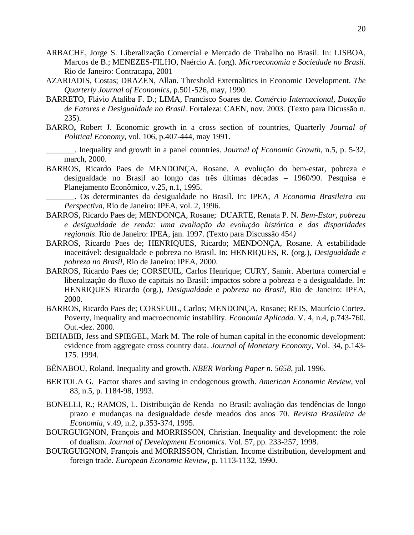- ARBACHE, Jorge S. Liberalização Comercial e Mercado de Trabalho no Brasil. In: LISBOA, Marcos de B.; MENEZES-FILHO, Naércio A. (org). *Microeconomia e Sociedade no Brasil*. Rio de Janeiro: Contracapa, 2001
- AZARIADIS, Costas; DRAZEN, Allan. Threshold Externalities in Economic Development. *The Quarterly Journal of Economics*, p.501-526, may, 1990.
- BARRETO, Flávio Ataliba F. D.; LIMA, Francisco Soares de. *Comércio Internacional, Dotação de Fatores e Desigualdade no Brasil*. Fortaleza: CAEN, nov. 2003. (Texto para Dicussão n. 235).
- BARRO**,** Robert J. Economic growth in a cross section of countries, Quarterly *Journal of Political Economy*, vol. 106, p.407-444, may 1991.
- \_\_\_\_\_\_\_. Inequality and growth in a panel countries. *Journal of Economic Growth*, n.5, p. 5-32, march, 2000.
- BARROS, Ricardo Paes de MENDONÇA, Rosane. A evolução do bem-estar, pobreza e desigualdade no Brasil ao longo das três últimas décadas – 1960/90. Pesquisa e Planejamento Econômico, v.25, n.1, 1995.

\_\_\_\_\_\_\_. Os determinantes da desigualdade no Brasil. In: IPEA, *A Economia Brasileira em Perspectiva*, Rio de Janeiro: IPEA, vol. 2, 1996.

- BARROS, Ricardo Paes de; MENDONÇA, Rosane; DUARTE, Renata P. N. *Bem-Estar, pobreza e desigualdade de renda: uma avaliação da evolução histórica e das disparidades regionais*. Rio de Janeiro: IPEA, jan. 1997. (Texto para Discussão 454*)*
- BARROS, Ricardo Paes de; HENRIQUES, Ricardo; MENDONÇA, Rosane. A estabilidade inaceitável: desigualdade e pobreza no Brasil. In: HENRIQUES, R. (org.), *Desigualdade e pobreza no Brasil*, Rio de Janeiro: IPEA, 2000.
- BARROS, Ricardo Paes de; CORSEUIL, Carlos Henrique; CURY, Samir. Abertura comercial e liberalização do fluxo de capitais no Brasil: impactos sobre a pobreza e a desigualdade. I*n*: HENRIQUES Ricardo (org.), *Desigualdade e pobreza no Brasil*, Rio de Janeiro: IPEA, 2000.
- BARROS, Ricardo Paes de; CORSEUIL, Carlos; MENDONÇA, Rosane; REIS, Maurício Cortez. Poverty, inequality and macroecnomic instability. *Economia Aplicada.* V. 4, n.4, p.743-760. Out.-dez. 2000.
- BEHABIB, Jess and SPIEGEL, Mark M. The role of human capital in the economic development: evidence from aggregate cross country data. *Journal of Monetary Economy*, Vol. 34, p.143- 175. 1994.
- BÉNABOU, Roland. Inequality and growth. *NBER Working Paper n. 5658*, jul. 1996.
- BERTOLA G. Factor shares and saving in endogenous growth. *American Economic Review*, vol 83, n.5, p. 1184-98, 1993.
- BONELLI, R.; RAMOS, L. Distribuição de Renda no Brasil: avaliação das tendências de longo prazo e mudanças na desigualdade desde meados dos anos 70. *Revista Brasileira de Economia,* v.49, n.2, p.353-374, 1995.
- BOURGUIGNON, François and MORRISSON, Christian. Inequality and development: the role of dualism. *Journal of Development Economics*. Vol. 57, pp. 233-257, 1998.
- BOURGUIGNON, François and MORRISSON, Christian. Income distribution, development and foreign trade. *European Economic Review,* p. 1113-1132, 1990.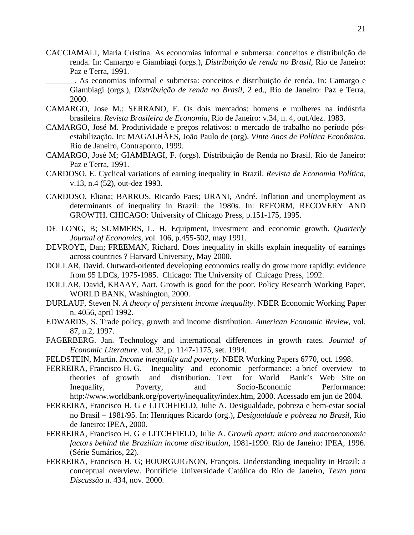CACCIAMALI, Maria Cristina. As economias informal e submersa: conceitos e distribuição de renda. In: Camargo e Giambiagi (orgs.), *Distribuição de renda no Brasil,* Rio de Janeiro: Paz e Terra, 1991.

\_\_\_\_\_\_\_. As economias informal e submersa: conceitos e distribuição de renda. In: Camargo e Giambiagi (orgs.), *Distribuição de renda no Brasil,* 2 ed., Rio de Janeiro: Paz e Terra, 2000.

- CAMARGO, Jose M.; SERRANO, F. Os dois mercados: homens e mulheres na indústria brasileira. *Revista Brasileira de Economia*, Rio de Janeiro: v.34, n. 4, out./dez. 1983.
- CAMARGO, José M. Produtividade e preços relativos: o mercado de trabalho no período pósestabilização. In: MAGALHÃES, João Paulo de (org). *Vinte Anos de Política Econômica*. Rio de Janeiro, Contraponto, 1999.
- CAMARGO, José M; GIAMBIAGI, F. (orgs). Distribuição de Renda no Brasil. Rio de Janeiro: Paz e Terra, 1991.
- CARDOSO, E. Cyclical variations of earning inequality in Brazil. *Revista de Economia Política*, v.13, n.4 (52), out-dez 1993.
- CARDOSO, Eliana; BARROS, Ricardo Paes; URANI, André. Inflation and unemployment as determinants of inequality in Brazil: the 1980s. In: REFORM, RECOVERY AND GROWTH. CHICAGO: University of Chicago Press, p.151-175, 1995.
- DE LONG, B; SUMMERS, L. H. Equipment, investment and economic growth. *Quarterly Journal of Economics, v*ol. 106, p.455-502, may 1991.
- DEVROYE, Dan; FREEMAN, Richard. Does inequality in skills explain inequality of earnings across countries ? Harvard University, May 2000.
- DOLLAR, David. Outward-oriented developing economics really do grow more rapidly: evidence from 95 LDCs, 1975-1985. Chicago: The University of Chicago Press, 1992.
- DOLLAR, David, KRAAY, Aart. Growth is good for the poor. Policy Research Working Paper, WORLD BANK, Washington, 2000.
- DURLAUF, Steven N. *A theory of persistent income inequality*. NBER Economic Working Paper n. 4056, april 1992.
- EDWARDS, S. Trade policy, growth and income distribution. *American Economic Review*, vol. 87, n.2, 1997.
- FAGERBERG. Jan. Technology and international differences in growth rates. *Journal of Economic Literature.* vol. 32, p. 1147-1175, set. 1994.
- FELDSTEIN, Martin. *Income inequality and poverty*. NBER Working Papers 6770, oct. 1998.
- FERREIRA, Francisco H. G. Inequality and economic performance: a brief overview to theories of growth and distribution. Text for World Bank's Web Site on Inequality, Poverty, and Socio-Economic Performance: [http://www.worldbank.org/poverty/inequality/index.htm,](http://www.worldbank.org/poverty/inequality/index.htm) 2000. Acessado em jun de 2004.
- FERREIRA, Francisco H. G e LITCHFIELD, Julie A. Desigualdade, pobreza e bem-estar social no Brasil – 1981/95. In: Henriques Ricardo (org.), *Desigualdade e pobreza no Brasil*, Rio de Janeiro: IPEA, 2000.
- FERREIRA, Francisco H. G e LITCHFIELD, Julie A. *Growth apart: micro and macroeconomic factors behind the Brazilian income distribution*, 1981-1990. Rio de Janeiro: IPEA, 1996. (Série Sumários, 22).
- FERREIRA, Francisco H. G; BOURGUIGNON, François. Understanding inequality in Brazil: a conceptual overview. Pontíficie Universidade Católica do Rio de Janeiro, *Texto para Discussão* n. 434, nov. 2000.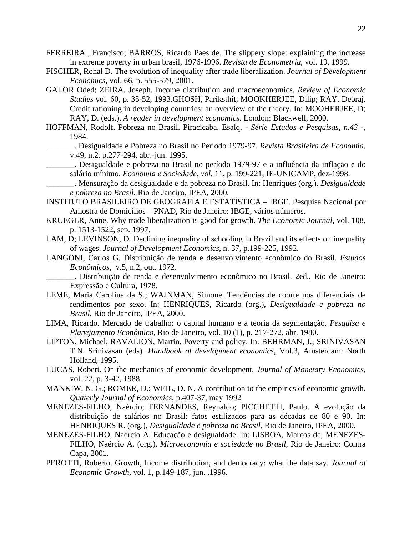- FERREIRA , Francisco; BARROS, Ricardo Paes de. The slippery slope: explaining the increase in extreme poverty in urban brasil, 1976-1996. *Revista de Econometria*, vol. 19, 1999.
- FISCHER, Ronal D. The evolution of inequality after trade liberalization. *Journal of Development Economics*, vol. 66, p. 555-579, 2001.
- GALOR Oded; ZEIRA, Joseph. Income distribution and macroeconomics. *Review of Economic Studies* vol. 60, p. 35-52, 1993.GHOSH, Pariksthit; MOOKHERJEE, Dilip; RAY, Debraj. Credit rationing in developing countries: an overview of the theory. In: MOOHERJEE, D; RAY, D. (eds.). *A reader in development economics*. London: Blackwell, 2000.

HOFFMAN, Rodolf. Pobreza no Brasil. Piracicaba, Esalq, - *Série Estudos e Pesquisas, n.43* -, 1984.

\_\_\_\_\_\_\_. Desigualdade e Pobreza no Brasil no Período 1979-97. *Revista Brasileira de Economia*, v.49, n.2, p.277-294, abr.-jun. 1995.

\_\_\_\_\_\_\_. Desigualdade e pobreza no Brasil no período 1979-97 e a influência da inflação e do salário mínimo. *Economia e Sociedade, vol.* 11, p. 199-221, IE-UNICAMP, dez-1998.

\_\_\_\_\_\_\_. Mensuração da desigualdade e da pobreza no Brasil. In: Henriques (org.). *Desigualdade e pobreza no Brasil*, Rio de Janeiro, IPEA, 2000.

INSTITUTO BRASILEIRO DE GEOGRAFIA E ESTATÍSTICA – IBGE. Pesquisa Nacional por Amostra de Domicílios – PNAD, Rio de Janeiro: IBGE, vários números.

- KRUEGER, Anne. Why trade liberalization is good for growth. *The Economic Journal*, vol. 108, p. 1513-1522, sep. 1997.
- LAM, D; LEVINSON, D. Declining inequality of schooling in Brazil and its effects on inequality of wages. *Journal of Development Economics*, n. 37, p.199-225, 1992.
- LANGONI, Carlos G. Distribuição de renda e desenvolvimento econômico do Brasil. *Estudos Econômicos*, v.5, n.2, out. 1972.

\_\_\_\_\_\_\_. Distribuição de renda e desenvolvimento econômico no Brasil. 2ed., Rio de Janeiro: Expressão e Cultura, 1978.

- LEME, Maria Carolina da S.; WAJNMAN, Simone. Tendências de coorte nos diferenciais de rendimentos por sexo. In: HENRIQUES, Ricardo (org.), *Desigualdade e pobreza no Brasil*, Rio de Janeiro, IPEA, 2000.
- LIMA, Ricardo. Mercado de trabalho: o capital humano e a teoria da segmentação. *Pesquisa e Planejamento Econômico*, Rio de Janeiro, vol. 10 (1), p. 217-272, abr. 1980.
- LIPTON, Michael; RAVALION, Martin. Poverty and policy. In: BEHRMAN, J.; SRINIVASAN T.N. Srinivasan (eds). *Handbook of development economics*, Vol.3, Amsterdam: North Holland, 1995.
- LUCAS, Robert. On the mechanics of economic development. *Journal of Monetary Economics,* vol. 22, p. 3-42, 1988.
- MANKIW, N. G.; ROMER, D.; WEIL, D. N. A contribution to the empirics of economic growth. *Quaterly Journal of Economics*, p.407-37, may 1992
- MENEZES-FILHO, Naércio; FERNANDES, Reynaldo; PICCHETTI, Paulo. A evolução da distribuição de salários no Brasil: fatos estilizados para as décadas de 80 e 90. In: HENRIQUES R. (org.), *Desigualdade e pobreza no Brasil*, Rio de Janeiro, IPEA, 2000.
- MENEZES-FILHO, Naércio A. Educação e desigualdade. In: LISBOA, Marcos de; MENEZES-FILHO, Naércio A. (org.). *Microeconomia e sociedade no Brasil*, Rio de Janeiro: Contra Capa, 2001.
- PEROTTI, Roberto. Growth, Income distribution, and democracy: what the data say. *Journal of Economic Growth*, vol. 1, p.149-187, jun. ,1996.